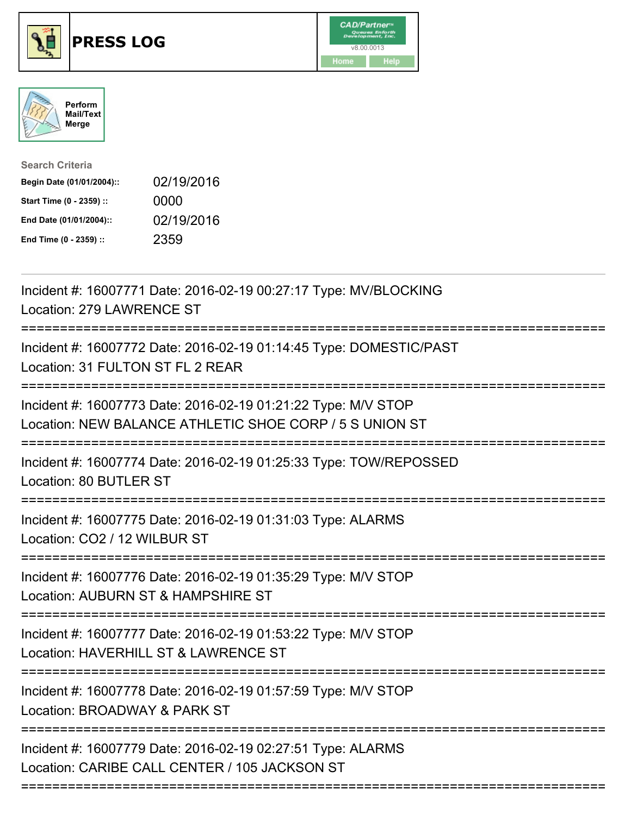

## **PRESS LOG** v8.00.0013





Search Criteria Begin Date (01/01/2004):: 02/19/2016 Start Time (0 - 2359) :: 0000 End Date (01/01/2004):: 02/19/2016 End Time (0 - 2359) :: 2359

Incident #: 16007771 Date: 2016-02-19 00:27:17 Type: MV/BLOCKING Location: 279 LAWRENCE ST =========================================================================== Incident #: 16007772 Date: 2016-02-19 01:14:45 Type: DOMESTIC/PAST Location: 31 FULTON ST FL 2 REAR =========================================================================== Incident #: 16007773 Date: 2016-02-19 01:21:22 Type: M/V STOP Location: NEW BALANCE ATHLETIC SHOE CORP / 5 S UNION ST =========================================================================== Incident #: 16007774 Date: 2016-02-19 01:25:33 Type: TOW/REPOSSED Location: 80 BUTLER ST =========================================================================== Incident #: 16007775 Date: 2016-02-19 01:31:03 Type: ALARMS Location: CO2 / 12 WILBUR ST =========================================================================== Incident #: 16007776 Date: 2016-02-19 01:35:29 Type: M/V STOP Location: AUBURN ST & HAMPSHIRE ST =========================================================================== Incident #: 16007777 Date: 2016-02-19 01:53:22 Type: M/V STOP Location: HAVERHILL ST & LAWRENCE ST =========================================================================== Incident #: 16007778 Date: 2016-02-19 01:57:59 Type: M/V STOP Location: BROADWAY & PARK ST =========================================================================== Incident #: 16007779 Date: 2016-02-19 02:27:51 Type: ALARMS Location: CARIBE CALL CENTER / 105 JACKSON ST ===========================================================================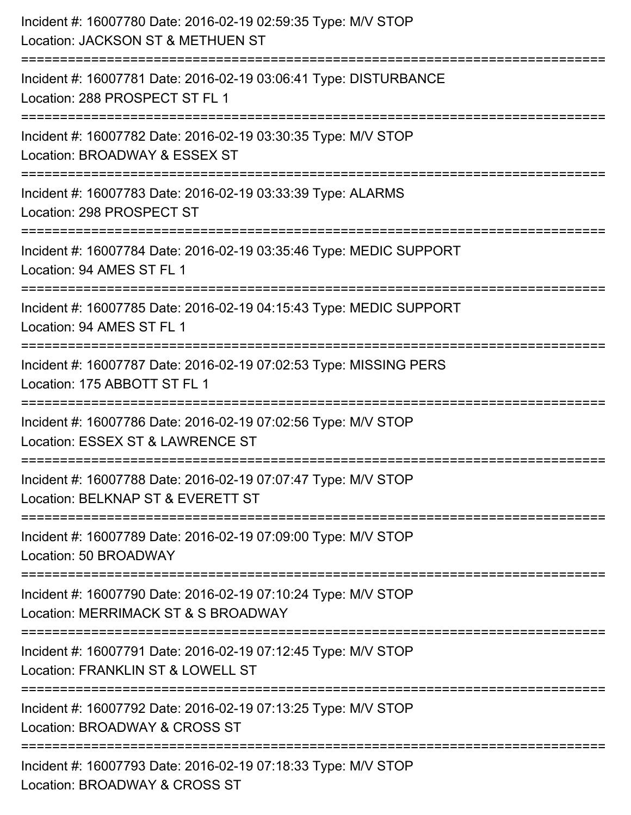| Incident #: 16007780 Date: 2016-02-19 02:59:35 Type: M/V STOP<br>Location: JACKSON ST & METHUEN ST   |
|------------------------------------------------------------------------------------------------------|
| Incident #: 16007781 Date: 2016-02-19 03:06:41 Type: DISTURBANCE<br>Location: 288 PROSPECT ST FL 1   |
| Incident #: 16007782 Date: 2016-02-19 03:30:35 Type: M/V STOP<br>Location: BROADWAY & ESSEX ST       |
| Incident #: 16007783 Date: 2016-02-19 03:33:39 Type: ALARMS<br>Location: 298 PROSPECT ST             |
| Incident #: 16007784 Date: 2016-02-19 03:35:46 Type: MEDIC SUPPORT<br>Location: 94 AMES ST FL 1      |
| Incident #: 16007785 Date: 2016-02-19 04:15:43 Type: MEDIC SUPPORT<br>Location: 94 AMES ST FL 1      |
| Incident #: 16007787 Date: 2016-02-19 07:02:53 Type: MISSING PERS<br>Location: 175 ABBOTT ST FL 1    |
| Incident #: 16007786 Date: 2016-02-19 07:02:56 Type: M/V STOP<br>Location: ESSEX ST & LAWRENCE ST    |
| Incident #: 16007788 Date: 2016-02-19 07:07:47 Type: M/V STOP<br>Location: BELKNAP ST & EVERETT ST   |
| Incident #: 16007789 Date: 2016-02-19 07:09:00 Type: M/V STOP<br>Location: 50 BROADWAY               |
| Incident #: 16007790 Date: 2016-02-19 07:10:24 Type: M/V STOP<br>Location: MERRIMACK ST & S BROADWAY |
| Incident #: 16007791 Date: 2016-02-19 07:12:45 Type: M/V STOP<br>Location: FRANKLIN ST & LOWELL ST   |
| Incident #: 16007792 Date: 2016-02-19 07:13:25 Type: M/V STOP<br>Location: BROADWAY & CROSS ST       |
| Incident #: 16007793 Date: 2016-02-19 07:18:33 Type: M/V STOP<br>Location: BROADWAY & CROSS ST       |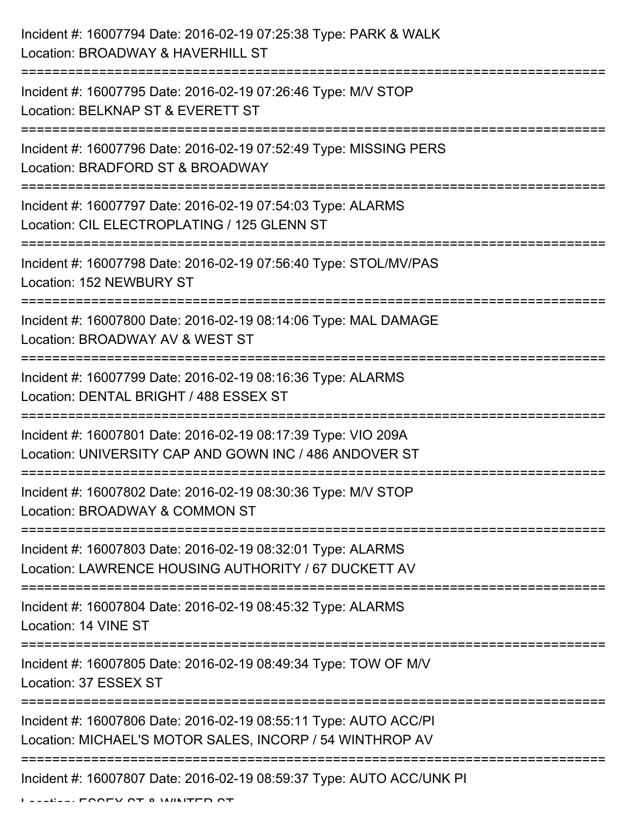| Incident #: 16007794 Date: 2016-02-19 07:25:38 Type: PARK & WALK<br>Location: BROADWAY & HAVERHILL ST                        |
|------------------------------------------------------------------------------------------------------------------------------|
| Incident #: 16007795 Date: 2016-02-19 07:26:46 Type: M/V STOP<br>Location: BELKNAP ST & EVERETT ST                           |
| Incident #: 16007796 Date: 2016-02-19 07:52:49 Type: MISSING PERS<br>Location: BRADFORD ST & BROADWAY                        |
| Incident #: 16007797 Date: 2016-02-19 07:54:03 Type: ALARMS<br>Location: CIL ELECTROPLATING / 125 GLENN ST                   |
| Incident #: 16007798 Date: 2016-02-19 07:56:40 Type: STOL/MV/PAS<br>Location: 152 NEWBURY ST                                 |
| Incident #: 16007800 Date: 2016-02-19 08:14:06 Type: MAL DAMAGE<br>Location: BROADWAY AV & WEST ST                           |
| Incident #: 16007799 Date: 2016-02-19 08:16:36 Type: ALARMS<br>Location: DENTAL BRIGHT / 488 ESSEX ST                        |
| Incident #: 16007801 Date: 2016-02-19 08:17:39 Type: VIO 209A<br>Location: UNIVERSITY CAP AND GOWN INC / 486 ANDOVER ST      |
| Incident #: 16007802 Date: 2016-02-19 08:30:36 Type: M/V STOP<br>Location: BROADWAY & COMMON ST                              |
| Incident #: 16007803 Date: 2016-02-19 08:32:01 Type: ALARMS<br>Location: LAWRENCE HOUSING AUTHORITY / 67 DUCKETT AV          |
| Incident #: 16007804 Date: 2016-02-19 08:45:32 Type: ALARMS<br>Location: 14 VINE ST                                          |
| Incident #: 16007805 Date: 2016-02-19 08:49:34 Type: TOW OF M/V<br>Location: 37 ESSEX ST                                     |
| Incident #: 16007806 Date: 2016-02-19 08:55:11 Type: AUTO ACC/PI<br>Location: MICHAEL'S MOTOR SALES, INCORP / 54 WINTHROP AV |
| Incident #: 16007807 Date: 2016-02-19 08:59:37 Type: AUTO ACC/UNK PI                                                         |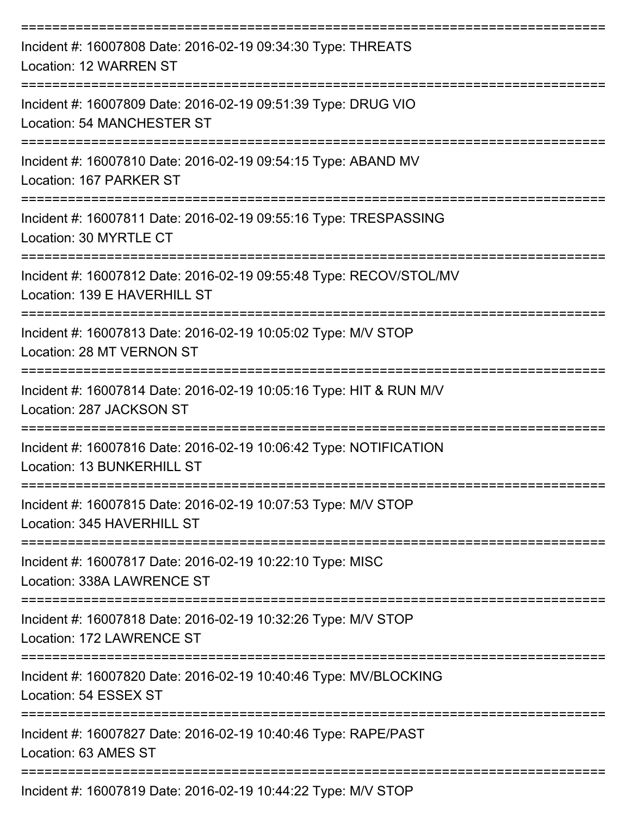| Incident #: 16007808 Date: 2016-02-19 09:34:30 Type: THREATS<br>Location: 12 WARREN ST                                     |
|----------------------------------------------------------------------------------------------------------------------------|
| Incident #: 16007809 Date: 2016-02-19 09:51:39 Type: DRUG VIO<br>Location: 54 MANCHESTER ST                                |
| Incident #: 16007810 Date: 2016-02-19 09:54:15 Type: ABAND MV<br>Location: 167 PARKER ST                                   |
| Incident #: 16007811 Date: 2016-02-19 09:55:16 Type: TRESPASSING<br>Location: 30 MYRTLE CT                                 |
| Incident #: 16007812 Date: 2016-02-19 09:55:48 Type: RECOV/STOL/MV<br>Location: 139 E HAVERHILL ST<br>-------------------- |
| Incident #: 16007813 Date: 2016-02-19 10:05:02 Type: M/V STOP<br>Location: 28 MT VERNON ST                                 |
| Incident #: 16007814 Date: 2016-02-19 10:05:16 Type: HIT & RUN M/V<br>Location: 287 JACKSON ST                             |
| Incident #: 16007816 Date: 2016-02-19 10:06:42 Type: NOTIFICATION<br>Location: 13 BUNKERHILL ST                            |
| Incident #: 16007815 Date: 2016-02-19 10:07:53 Type: M/V STOP<br>Location: 345 HAVERHILL ST                                |
| Incident #: 16007817 Date: 2016-02-19 10:22:10 Type: MISC<br>Location: 338A LAWRENCE ST                                    |
| Incident #: 16007818 Date: 2016-02-19 10:32:26 Type: M/V STOP<br>Location: 172 LAWRENCE ST                                 |
| Incident #: 16007820 Date: 2016-02-19 10:40:46 Type: MV/BLOCKING<br>Location: 54 ESSEX ST                                  |
| Incident #: 16007827 Date: 2016-02-19 10:40:46 Type: RAPE/PAST<br>Location: 63 AMES ST                                     |
| Incident #: 16007819 Date: 2016-02-19 10:44:22 Type: M/V STOP                                                              |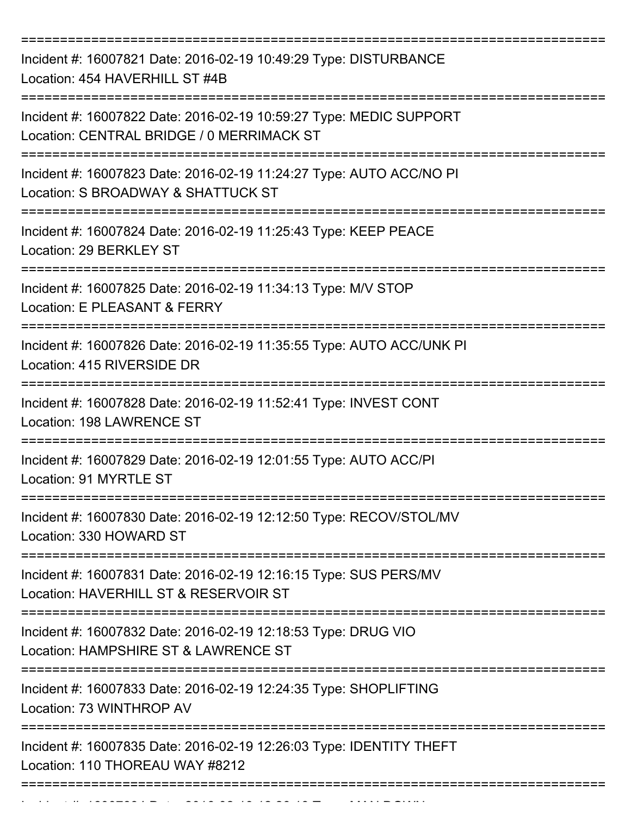| Incident #: 16007821 Date: 2016-02-19 10:49:29 Type: DISTURBANCE<br>Location: 454 HAVERHILL ST #4B              |
|-----------------------------------------------------------------------------------------------------------------|
| Incident #: 16007822 Date: 2016-02-19 10:59:27 Type: MEDIC SUPPORT<br>Location: CENTRAL BRIDGE / 0 MERRIMACK ST |
| Incident #: 16007823 Date: 2016-02-19 11:24:27 Type: AUTO ACC/NO PI<br>Location: S BROADWAY & SHATTUCK ST       |
| Incident #: 16007824 Date: 2016-02-19 11:25:43 Type: KEEP PEACE<br>Location: 29 BERKLEY ST                      |
| Incident #: 16007825 Date: 2016-02-19 11:34:13 Type: M/V STOP<br>Location: E PLEASANT & FERRY                   |
| Incident #: 16007826 Date: 2016-02-19 11:35:55 Type: AUTO ACC/UNK PI<br>Location: 415 RIVERSIDE DR              |
| Incident #: 16007828 Date: 2016-02-19 11:52:41 Type: INVEST CONT<br>Location: 198 LAWRENCE ST                   |
| Incident #: 16007829 Date: 2016-02-19 12:01:55 Type: AUTO ACC/PI<br>Location: 91 MYRTLE ST                      |
| Incident #: 16007830 Date: 2016-02-19 12:12:50 Type: RECOV/STOL/MV<br>Location: 330 HOWARD ST                   |
| Incident #: 16007831 Date: 2016-02-19 12:16:15 Type: SUS PERS/MV<br>Location: HAVERHILL ST & RESERVOIR ST       |
| Incident #: 16007832 Date: 2016-02-19 12:18:53 Type: DRUG VIO<br>Location: HAMPSHIRE ST & LAWRENCE ST           |
| Incident #: 16007833 Date: 2016-02-19 12:24:35 Type: SHOPLIFTING<br>Location: 73 WINTHROP AV                    |
| Incident #: 16007835 Date: 2016-02-19 12:26:03 Type: IDENTITY THEFT<br>Location: 110 THOREAU WAY #8212          |
|                                                                                                                 |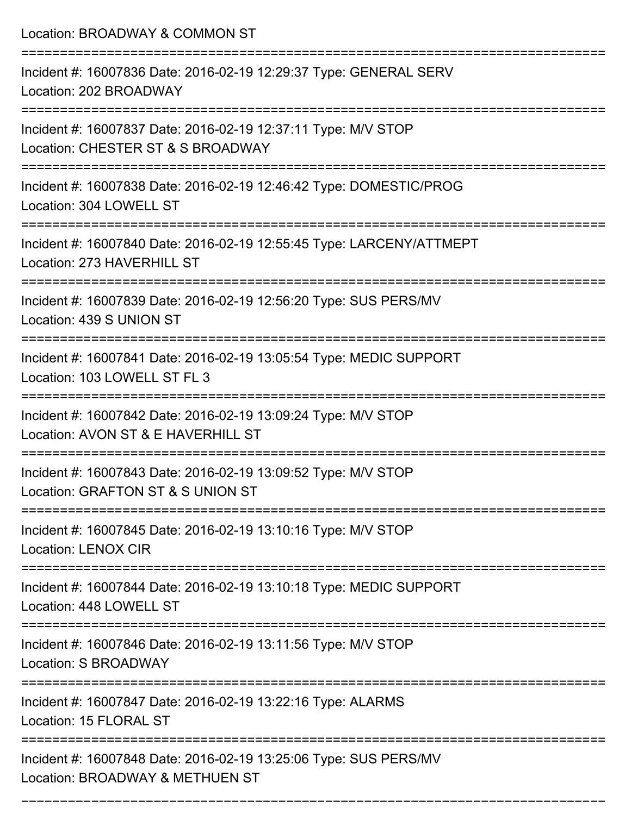Location: BROADWAY & COMMON ST =========================================================================== Incident #: 16007836 Date: 2016-02-19 12:29:37 Type: GENERAL SERV Location: 202 BROADWAY =========================================================================== Incident #: 16007837 Date: 2016-02-19 12:37:11 Type: M/V STOP Location: CHESTER ST & S BROADWAY =========================================================================== Incident #: 16007838 Date: 2016-02-19 12:46:42 Type: DOMESTIC/PROG Location: 304 LOWELL ST =========================================================================== Incident #: 16007840 Date: 2016-02-19 12:55:45 Type: LARCENY/ATTMEPT Location: 273 HAVERHILL ST =========================================================================== Incident #: 16007839 Date: 2016-02-19 12:56:20 Type: SUS PERS/MV Location: 439 S UNION ST =========================================================================== Incident #: 16007841 Date: 2016-02-19 13:05:54 Type: MEDIC SUPPORT Location: 103 LOWELL ST FL 3 =========================================================================== Incident #: 16007842 Date: 2016-02-19 13:09:24 Type: M/V STOP Location: AVON ST & E HAVERHILL ST =========================================================================== Incident #: 16007843 Date: 2016-02-19 13:09:52 Type: M/V STOP Location: GRAFTON ST & S UNION ST =========================================================================== Incident #: 16007845 Date: 2016-02-19 13:10:16 Type: M/V STOP Location: LENOX CIR =========================================================================== Incident #: 16007844 Date: 2016-02-19 13:10:18 Type: MEDIC SUPPORT Location: 448 LOWELL ST =========================================================================== Incident #: 16007846 Date: 2016-02-19 13:11:56 Type: M/V STOP Location: S BROADWAY =========================================================================== Incident #: 16007847 Date: 2016-02-19 13:22:16 Type: ALARMS Location: 15 FLORAL ST =========================================================================== Incident #: 16007848 Date: 2016-02-19 13:25:06 Type: SUS PERS/MV Location: BROADWAY & METHUEN ST

===========================================================================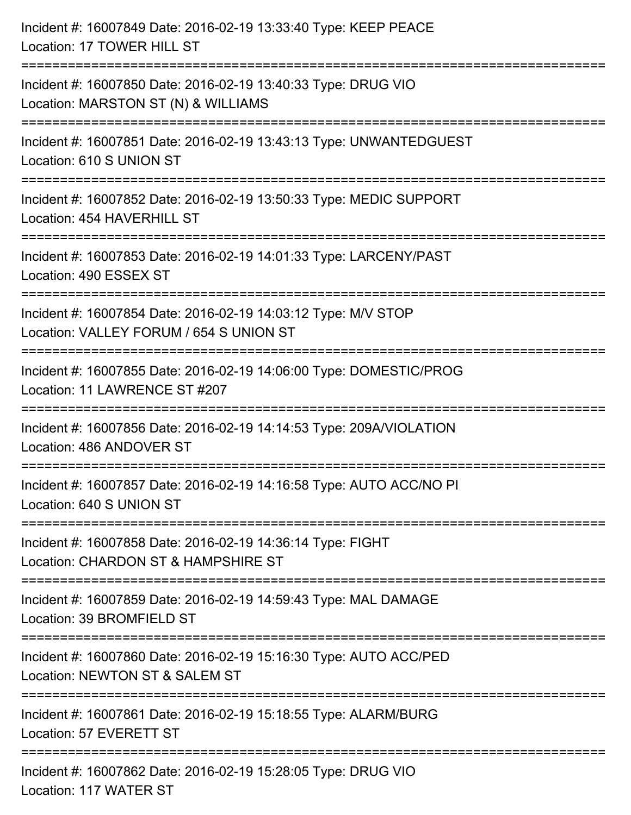| Incident #: 16007849 Date: 2016-02-19 13:33:40 Type: KEEP PEACE<br>Location: 17 TOWER HILL ST                                                                   |
|-----------------------------------------------------------------------------------------------------------------------------------------------------------------|
| Incident #: 16007850 Date: 2016-02-19 13:40:33 Type: DRUG VIO<br>Location: MARSTON ST (N) & WILLIAMS                                                            |
| Incident #: 16007851 Date: 2016-02-19 13:43:13 Type: UNWANTEDGUEST<br>Location: 610 S UNION ST                                                                  |
| Incident #: 16007852 Date: 2016-02-19 13:50:33 Type: MEDIC SUPPORT<br>Location: 454 HAVERHILL ST                                                                |
| Incident #: 16007853 Date: 2016-02-19 14:01:33 Type: LARCENY/PAST<br>Location: 490 ESSEX ST                                                                     |
| Incident #: 16007854 Date: 2016-02-19 14:03:12 Type: M/V STOP<br>Location: VALLEY FORUM / 654 S UNION ST<br>==========                                          |
| Incident #: 16007855 Date: 2016-02-19 14:06:00 Type: DOMESTIC/PROG<br>Location: 11 LAWRENCE ST #207<br>-------------                                            |
| Incident #: 16007856 Date: 2016-02-19 14:14:53 Type: 209A/VIOLATION<br>Location: 486 ANDOVER ST                                                                 |
| Incident #: 16007857 Date: 2016-02-19 14:16:58 Type: AUTO ACC/NO PI<br>Location: 640 S UNION ST                                                                 |
| Incident #: 16007858 Date: 2016-02-19 14:36:14 Type: FIGHT<br>Location: CHARDON ST & HAMPSHIRE ST                                                               |
| Incident #: 16007859 Date: 2016-02-19 14:59:43 Type: MAL DAMAGE<br>Location: 39 BROMFIELD ST                                                                    |
| Incident #: 16007860 Date: 2016-02-19 15:16:30 Type: AUTO ACC/PED<br>Location: NEWTON ST & SALEM ST                                                             |
| Incident #: 16007861 Date: 2016-02-19 15:18:55 Type: ALARM/BURG<br>Location: 57 EVERETT ST                                                                      |
| ===============================<br>---------------------------------<br>Incident #: 16007862 Date: 2016-02-19 15:28:05 Type: DRUG VIO<br>Location: 117 WATER ST |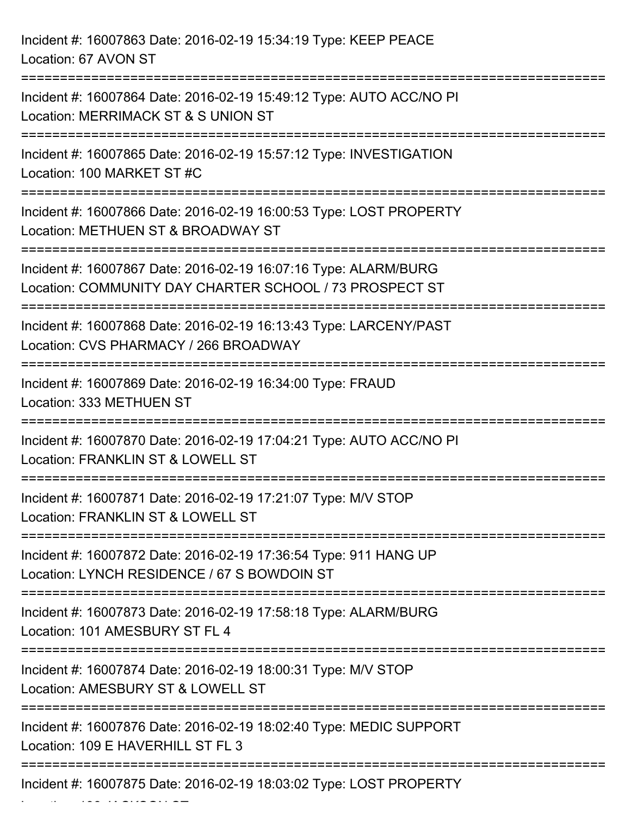| Incident #: 16007863 Date: 2016-02-19 15:34:19 Type: KEEP PEACE<br>Location: 67 AVON ST                                             |
|-------------------------------------------------------------------------------------------------------------------------------------|
| Incident #: 16007864 Date: 2016-02-19 15:49:12 Type: AUTO ACC/NO PI<br>Location: MERRIMACK ST & S UNION ST                          |
| Incident #: 16007865 Date: 2016-02-19 15:57:12 Type: INVESTIGATION<br>Location: 100 MARKET ST #C                                    |
| Incident #: 16007866 Date: 2016-02-19 16:00:53 Type: LOST PROPERTY<br>Location: METHUEN ST & BROADWAY ST                            |
| Incident #: 16007867 Date: 2016-02-19 16:07:16 Type: ALARM/BURG<br>Location: COMMUNITY DAY CHARTER SCHOOL / 73 PROSPECT ST          |
| Incident #: 16007868 Date: 2016-02-19 16:13:43 Type: LARCENY/PAST<br>Location: CVS PHARMACY / 266 BROADWAY                          |
| Incident #: 16007869 Date: 2016-02-19 16:34:00 Type: FRAUD<br>Location: 333 METHUEN ST                                              |
| Incident #: 16007870 Date: 2016-02-19 17:04:21 Type: AUTO ACC/NO PI<br>Location: FRANKLIN ST & LOWELL ST                            |
| :============================<br>Incident #: 16007871 Date: 2016-02-19 17:21:07 Type: M/V STOP<br>Location: FRANKLIN ST & LOWELL ST |
| Incident #: 16007872 Date: 2016-02-19 17:36:54 Type: 911 HANG UP<br>Location: LYNCH RESIDENCE / 67 S BOWDOIN ST                     |
| Incident #: 16007873 Date: 2016-02-19 17:58:18 Type: ALARM/BURG<br>Location: 101 AMESBURY ST FL 4                                   |
| Incident #: 16007874 Date: 2016-02-19 18:00:31 Type: M/V STOP<br>Location: AMESBURY ST & LOWELL ST                                  |
| Incident #: 16007876 Date: 2016-02-19 18:02:40 Type: MEDIC SUPPORT<br>Location: 109 E HAVERHILL ST FL 3                             |
| Incident #: 16007875 Date: 2016-02-19 18:03:02 Type: LOST PROPERTY                                                                  |

Location: 198 JACKSON ST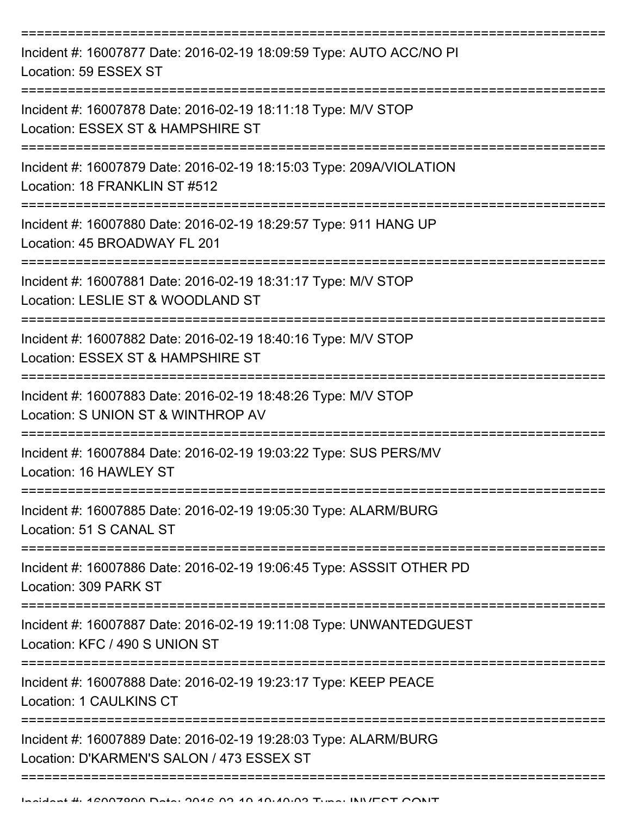| Incident #: 16007877 Date: 2016-02-19 18:09:59 Type: AUTO ACC/NO PI<br>Location: 59 ESSEX ST                 |
|--------------------------------------------------------------------------------------------------------------|
| Incident #: 16007878 Date: 2016-02-19 18:11:18 Type: M/V STOP<br>Location: ESSEX ST & HAMPSHIRE ST           |
| Incident #: 16007879 Date: 2016-02-19 18:15:03 Type: 209A/VIOLATION<br>Location: 18 FRANKLIN ST #512         |
| Incident #: 16007880 Date: 2016-02-19 18:29:57 Type: 911 HANG UP<br>Location: 45 BROADWAY FL 201             |
| Incident #: 16007881 Date: 2016-02-19 18:31:17 Type: M/V STOP<br>Location: LESLIE ST & WOODLAND ST           |
| Incident #: 16007882 Date: 2016-02-19 18:40:16 Type: M/V STOP<br>Location: ESSEX ST & HAMPSHIRE ST           |
| Incident #: 16007883 Date: 2016-02-19 18:48:26 Type: M/V STOP<br>Location: S UNION ST & WINTHROP AV          |
| Incident #: 16007884 Date: 2016-02-19 19:03:22 Type: SUS PERS/MV<br>Location: 16 HAWLEY ST                   |
| Incident #: 16007885 Date: 2016-02-19 19:05:30 Type: ALARM/BURG<br>Location: 51 S CANAL ST                   |
| Incident #: 16007886 Date: 2016-02-19 19:06:45 Type: ASSSIT OTHER PD<br>Location: 309 PARK ST                |
| Incident #: 16007887 Date: 2016-02-19 19:11:08 Type: UNWANTEDGUEST<br>Location: KFC / 490 S UNION ST         |
| Incident #: 16007888 Date: 2016-02-19 19:23:17 Type: KEEP PEACE<br>Location: 1 CAULKINS CT                   |
| Incident #: 16007889 Date: 2016-02-19 19:28:03 Type: ALARM/BURG<br>Location: D'KARMEN'S SALON / 473 ESSEX ST |
|                                                                                                              |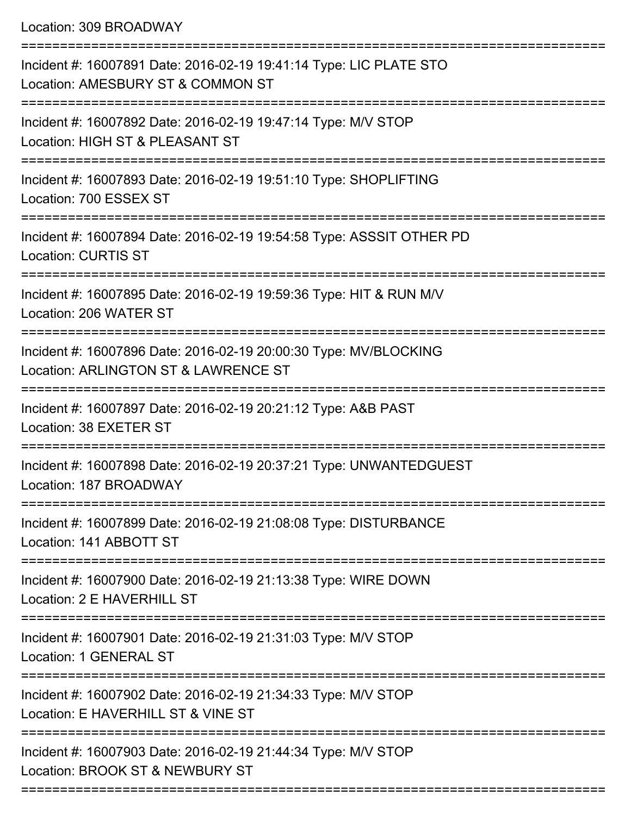Location: 309 BROADWAY

| Incident #: 16007891 Date: 2016-02-19 19:41:14 Type: LIC PLATE STO<br>Location: AMESBURY ST & COMMON ST             |
|---------------------------------------------------------------------------------------------------------------------|
| Incident #: 16007892 Date: 2016-02-19 19:47:14 Type: M/V STOP<br>Location: HIGH ST & PLEASANT ST                    |
| Incident #: 16007893 Date: 2016-02-19 19:51:10 Type: SHOPLIFTING<br>Location: 700 ESSEX ST                          |
| Incident #: 16007894 Date: 2016-02-19 19:54:58 Type: ASSSIT OTHER PD<br><b>Location: CURTIS ST</b>                  |
| Incident #: 16007895 Date: 2016-02-19 19:59:36 Type: HIT & RUN M/V<br>Location: 206 WATER ST<br>------------------- |
| Incident #: 16007896 Date: 2016-02-19 20:00:30 Type: MV/BLOCKING<br>Location: ARLINGTON ST & LAWRENCE ST            |
| Incident #: 16007897 Date: 2016-02-19 20:21:12 Type: A&B PAST<br>Location: 38 EXETER ST                             |
| Incident #: 16007898 Date: 2016-02-19 20:37:21 Type: UNWANTEDGUEST<br>Location: 187 BROADWAY                        |
| Incident #: 16007899 Date: 2016-02-19 21:08:08 Type: DISTURBANCE<br>Location: 141 ABBOTT ST                         |
| Incident #: 16007900 Date: 2016-02-19 21:13:38 Type: WIRE DOWN<br>Location: 2 E HAVERHILL ST                        |
| Incident #: 16007901 Date: 2016-02-19 21:31:03 Type: M/V STOP<br><b>Location: 1 GENERAL ST</b>                      |
| Incident #: 16007902 Date: 2016-02-19 21:34:33 Type: M/V STOP<br>Location: E HAVERHILL ST & VINE ST                 |
| Incident #: 16007903 Date: 2016-02-19 21:44:34 Type: M/V STOP<br>Location: BROOK ST & NEWBURY ST                    |
|                                                                                                                     |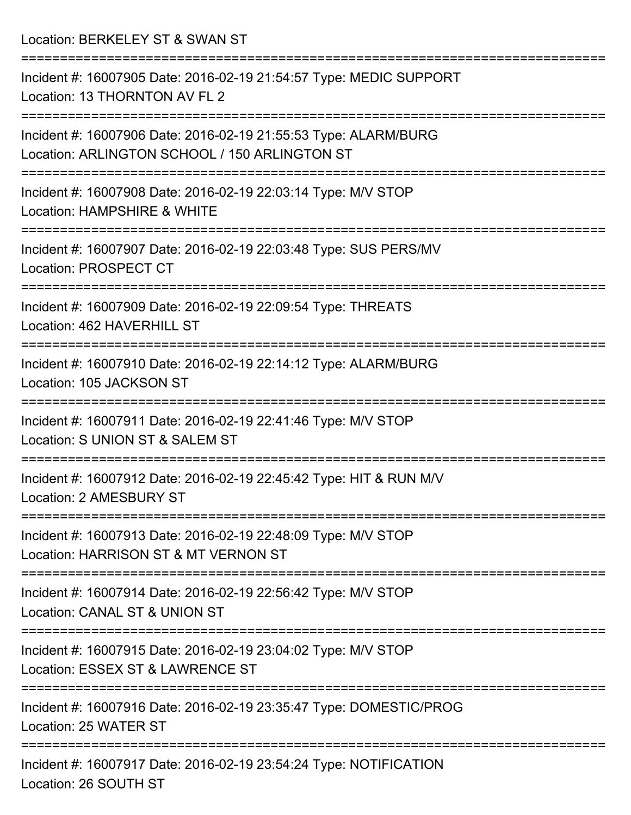Location: BERKELEY ST & SWAN ST

| Incident #: 16007905 Date: 2016-02-19 21:54:57 Type: MEDIC SUPPORT<br>Location: 13 THORNTON AV FL 2              |
|------------------------------------------------------------------------------------------------------------------|
| Incident #: 16007906 Date: 2016-02-19 21:55:53 Type: ALARM/BURG<br>Location: ARLINGTON SCHOOL / 150 ARLINGTON ST |
| Incident #: 16007908 Date: 2016-02-19 22:03:14 Type: M/V STOP<br>Location: HAMPSHIRE & WHITE                     |
| Incident #: 16007907 Date: 2016-02-19 22:03:48 Type: SUS PERS/MV<br>Location: PROSPECT CT                        |
| Incident #: 16007909 Date: 2016-02-19 22:09:54 Type: THREATS<br>Location: 462 HAVERHILL ST                       |
| Incident #: 16007910 Date: 2016-02-19 22:14:12 Type: ALARM/BURG<br>Location: 105 JACKSON ST                      |
| Incident #: 16007911 Date: 2016-02-19 22:41:46 Type: M/V STOP<br>Location: S UNION ST & SALEM ST                 |
| Incident #: 16007912 Date: 2016-02-19 22:45:42 Type: HIT & RUN M/V<br>Location: 2 AMESBURY ST                    |
| Incident #: 16007913 Date: 2016-02-19 22:48:09 Type: M/V STOP<br>Location: HARRISON ST & MT VERNON ST            |
| Incident #: 16007914 Date: 2016-02-19 22:56:42 Type: M/V STOP<br>Location: CANAL ST & UNION ST                   |
| Incident #: 16007915 Date: 2016-02-19 23:04:02 Type: M/V STOP<br>Location: ESSEX ST & LAWRENCE ST                |
| Incident #: 16007916 Date: 2016-02-19 23:35:47 Type: DOMESTIC/PROG<br>Location: 25 WATER ST                      |
| Incident #: 16007917 Date: 2016-02-19 23:54:24 Type: NOTIFICATION<br>Location: 26 SOUTH ST                       |